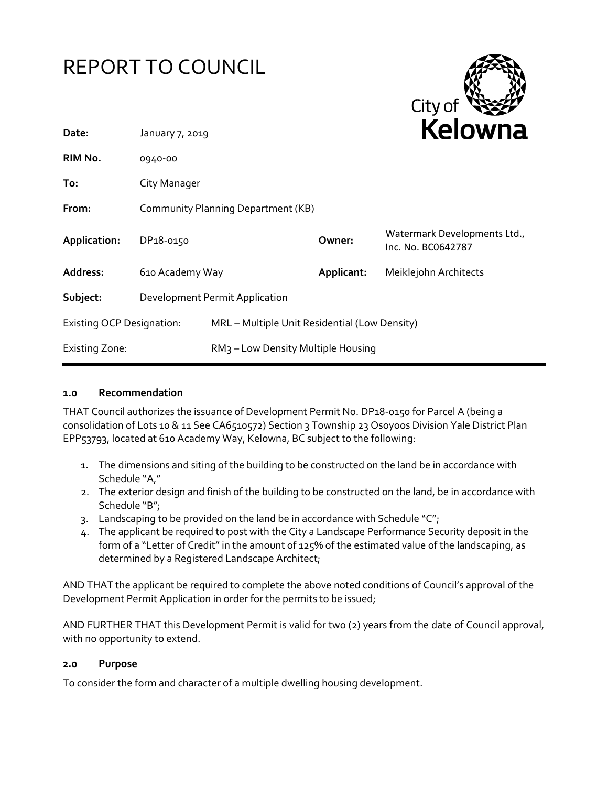



| Date:                            | January 7, 2019                    |                                                | <b>NEIUWHd</b> |                                                    |
|----------------------------------|------------------------------------|------------------------------------------------|----------------|----------------------------------------------------|
| RIM No.                          | 0940-00                            |                                                |                |                                                    |
| To:                              | City Manager                       |                                                |                |                                                    |
| From:                            | Community Planning Department (KB) |                                                |                |                                                    |
| Application:                     | DP <sub>18</sub> -0150             |                                                | Owner:         | Watermark Developments Ltd.,<br>Inc. No. BC0642787 |
| Address:                         | 610 Academy Way                    |                                                | Applicant:     | Meiklejohn Architects                              |
| Subject:                         | Development Permit Application     |                                                |                |                                                    |
| <b>Existing OCP Designation:</b> |                                    | MRL - Multiple Unit Residential (Low Density)  |                |                                                    |
| <b>Existing Zone:</b>            |                                    | RM <sub>3</sub> - Low Density Multiple Housing |                |                                                    |

#### **1.0 Recommendation**

THAT Council authorizes the issuance of Development Permit No. DP18-0150 for Parcel A (being a consolidation of Lots 10 & 11 See CA6510572) Section 3 Township 23 Osoyoos Division Yale District Plan EPP53793, located at 610 Academy Way, Kelowna, BC subject to the following:

- 1. The dimensions and siting of the building to be constructed on the land be in accordance with Schedule "A,"
- 2. The exterior design and finish of the building to be constructed on the land, be in accordance with Schedule "B";
- 3. Landscaping to be provided on the land be in accordance with Schedule "C";
- 4. The applicant be required to post with the City a Landscape Performance Security deposit in the form of a "Letter of Credit" in the amount of 125% of the estimated value of the landscaping, as determined by a Registered Landscape Architect;

AND THAT the applicant be required to complete the above noted conditions of Council's approval of the Development Permit Application in order for the permits to be issued;

AND FURTHER THAT this Development Permit is valid for two (2) years from the date of Council approval, with no opportunity to extend.

#### **2.0 Purpose**

To consider the form and character of a multiple dwelling housing development.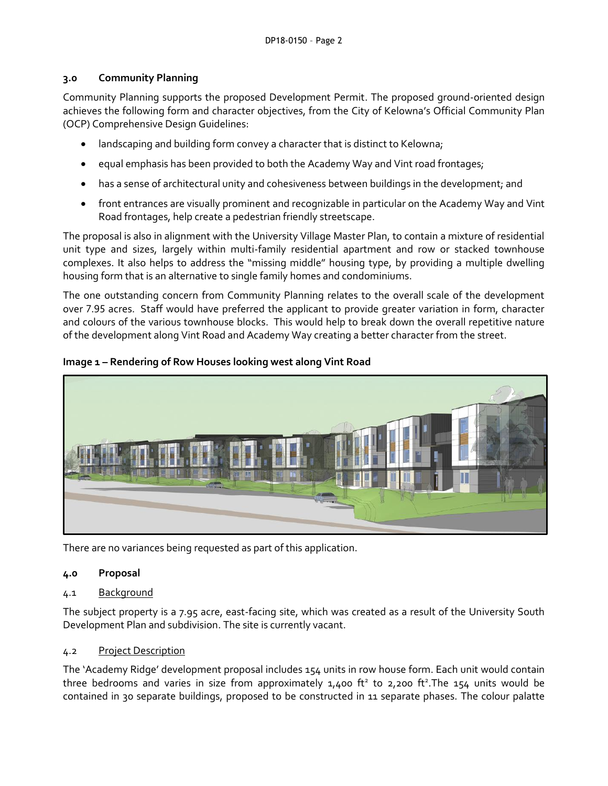## **3.0 Community Planning**

Community Planning supports the proposed Development Permit. The proposed ground-oriented design achieves the following form and character objectives, from the City of Kelowna's Official Community Plan (OCP) Comprehensive Design Guidelines:

- landscaping and building form convey a character that is distinct to Kelowna;
- equal emphasis has been provided to both the Academy Way and Vint road frontages;
- has a sense of architectural unity and cohesiveness between buildings in the development; and
- front entrances are visually prominent and recognizable in particular on the Academy Way and Vint Road frontages, help create a pedestrian friendly streetscape.

The proposal is also in alignment with the University Village Master Plan, to contain a mixture of residential unit type and sizes, largely within multi-family residential apartment and row or stacked townhouse complexes. It also helps to address the "missing middle" housing type, by providing a multiple dwelling housing form that is an alternative to single family homes and condominiums.

The one outstanding concern from Community Planning relates to the overall scale of the development over 7.95 acres. Staff would have preferred the applicant to provide greater variation in form, character and colours of the various townhouse blocks. This would help to break down the overall repetitive nature of the development along Vint Road and Academy Way creating a better character from the street.



## **Image 1 – Rendering of Row Houses looking west along Vint Road**

There are no variances being requested as part of this application.

### **4.0 Proposal**

# 4.1 Background

The subject property is a 7.95 acre, east-facing site, which was created as a result of the University South Development Plan and subdivision. The site is currently vacant.

### 4.2 Project Description

The 'Academy Ridge' development proposal includes 154 units in row house form. Each unit would contain three bedrooms and varies in size from approximately  $1,400$  ft<sup>2</sup> to  $2,200$  ft<sup>2</sup>. The  $154$  units would be contained in 30 separate buildings, proposed to be constructed in 11 separate phases. The colour palatte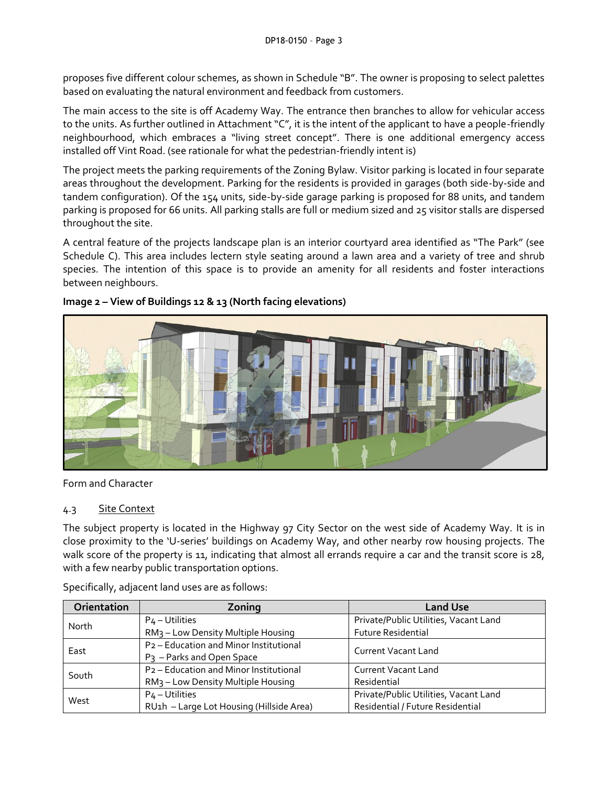proposes five different colour schemes, as shown in Schedule "B". The owner is proposing to select palettes based on evaluating the natural environment and feedback from customers.

The main access to the site is off Academy Way. The entrance then branches to allow for vehicular access to the units. As further outlined in Attachment "C", it is the intent of the applicant to have a people-friendly neighbourhood, which embraces a "living street concept". There is one additional emergency access installed off Vint Road. (see rationale for what the pedestrian-friendly intent is)

The project meets the parking requirements of the Zoning Bylaw. Visitor parking is located in four separate areas throughout the development. Parking for the residents is provided in garages (both side-by-side and tandem configuration). Of the 154 units, side-by-side garage parking is proposed for 88 units, and tandem parking is proposed for 66 units. All parking stalls are full or medium sized and 25 visitor stalls are dispersed throughout the site.

A central feature of the projects landscape plan is an interior courtyard area identified as "The Park" (see Schedule C). This area includes lectern style seating around a lawn area and a variety of tree and shrub species. The intention of this space is to provide an amenity for all residents and foster interactions between neighbours.



### **Image 2 – View of Buildings 12 & 13 (North facing elevations)**

Form and Character

### 4.3 Site Context

The subject property is located in the Highway 97 City Sector on the west side of Academy Way. It is in close proximity to the 'U-series' buildings on Academy Way, and other nearby row housing projects. The walk score of the property is 11, indicating that almost all errands require a car and the transit score is 28, with a few nearby public transportation options.

| Orientation | Zoning                                             | <b>Land Use</b>                       |  |
|-------------|----------------------------------------------------|---------------------------------------|--|
| North       | $P_4$ – Utilities                                  | Private/Public Utilities, Vacant Land |  |
|             | RM <sub>3</sub> - Low Density Multiple Housing     | <b>Future Residential</b>             |  |
| East        | P <sub>2</sub> – Education and Minor Institutional | <b>Current Vacant Land</b>            |  |
|             | P <sub>3</sub> - Parks and Open Space              |                                       |  |
| South       | P <sub>2</sub> - Education and Minor Institutional | <b>Current Vacant Land</b>            |  |
|             | RM <sub>3</sub> - Low Density Multiple Housing     | Residential                           |  |
| West        | P <sub>4</sub> – Utilities                         | Private/Public Utilities, Vacant Land |  |
|             | RU1h - Large Lot Housing (Hillside Area)           | Residential / Future Residential      |  |

Specifically, adjacent land uses are as follows: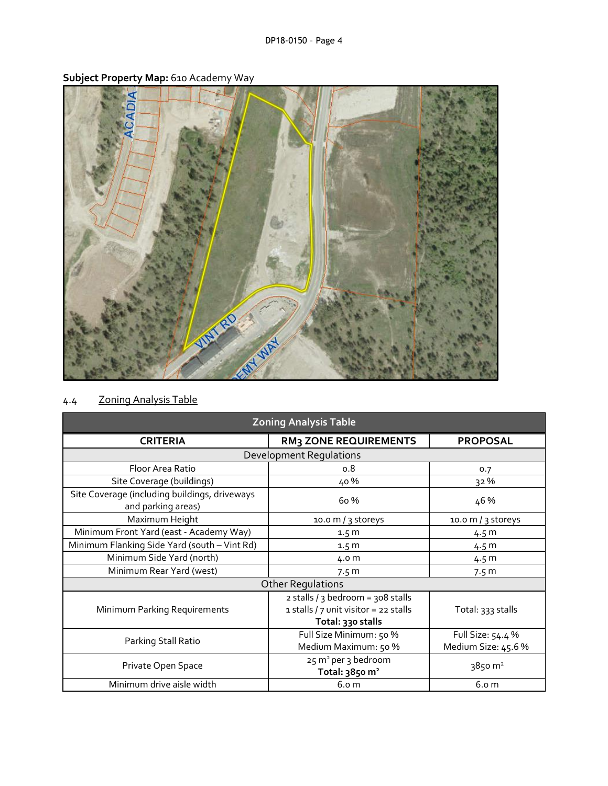

**Subject Property Map:** 610 Academy Way

| <b>Zoning Analysis Table</b>                                        |                                                                                                 |                                          |  |  |  |
|---------------------------------------------------------------------|-------------------------------------------------------------------------------------------------|------------------------------------------|--|--|--|
| <b>CRITERIA</b>                                                     | <b>RM3 ZONE REQUIREMENTS</b>                                                                    | <b>PROPOSAL</b>                          |  |  |  |
| <b>Development Requlations</b>                                      |                                                                                                 |                                          |  |  |  |
| Floor Area Ratio                                                    | 0.8                                                                                             | 0.7                                      |  |  |  |
| Site Coverage (buildings)                                           | 40%                                                                                             | 32 %                                     |  |  |  |
| Site Coverage (including buildings, driveways<br>and parking areas) | 6o %                                                                                            | 46 %                                     |  |  |  |
| Maximum Height                                                      | 10.0 m / 3 storeys                                                                              | 10.0 m / $3$ storeys                     |  |  |  |
| Minimum Front Yard (east - Academy Way)                             | 1.5 <sub>m</sub>                                                                                | 4.5 m                                    |  |  |  |
| Minimum Flanking Side Yard (south - Vint Rd)                        | 1.5 <sub>m</sub>                                                                                | 4.5 m                                    |  |  |  |
| Minimum Side Yard (north)                                           | 4.0 m                                                                                           | 4.5 m                                    |  |  |  |
| Minimum Rear Yard (west)                                            | 7.5 m                                                                                           | 7.5 m                                    |  |  |  |
| <b>Other Regulations</b>                                            |                                                                                                 |                                          |  |  |  |
| Minimum Parking Requirements                                        | 2 stalls / 3 bedroom = 308 stalls<br>1 stalls / 7 unit visitor = 22 stalls<br>Total: 330 stalls | Total: 333 stalls                        |  |  |  |
| Parking Stall Ratio                                                 | Full Size Minimum: 50 %<br>Medium Maximum: 50 %                                                 | Full Size: 54.4 %<br>Medium Size: 45.6 % |  |  |  |
| Private Open Space                                                  | 25 m <sup>2</sup> per 3 bedroom<br>Total: 3850 m <sup>2</sup>                                   | 3850 m <sup>2</sup>                      |  |  |  |
| Minimum drive aisle width                                           | 6.0 <sub>m</sub>                                                                                | 6.0 m                                    |  |  |  |